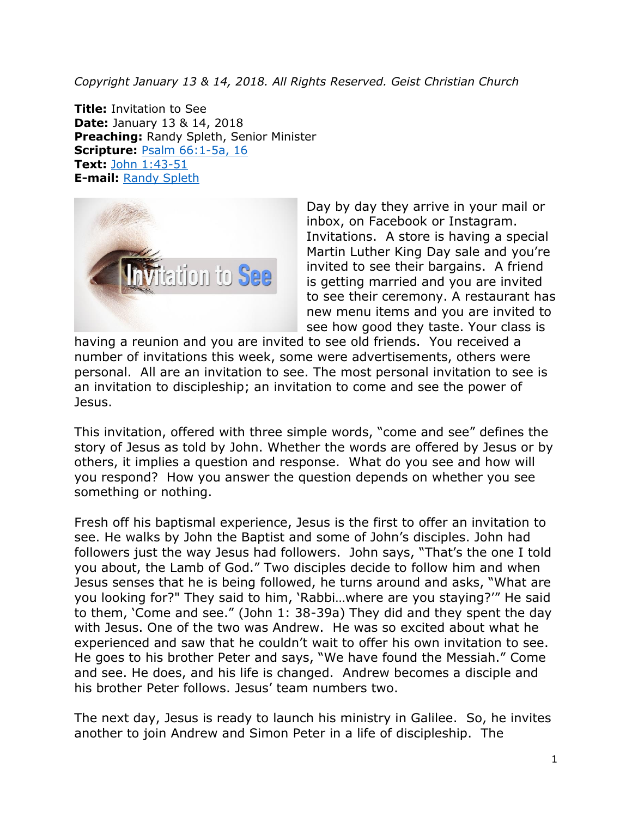*Copyright January 13 & 14, 2018. All Rights Reserved. Geist Christian Church*

**Title:** Invitation to See **Date:** January 13 & 14, 2018 **Preaching:** Randy Spleth, Senior Minister **Scripture:** Psalm [66:1-5a,](https://www.biblegateway.com/passage/?search=Psalm+66%3A1-5a%2C+16&version=NRSV) 16 **Text:** John [1:43-51](https://www.biblegateway.com/passage/?search=John+1%3A43-51&version=NRSV) **E-mail:** Randy [Spleth](mailto:randy.spleth@geistchristian.org)



Day by day they arrive in your mail or inbox, on Facebook or Instagram. Invitations. A store is having a special Martin Luther King Day sale and you're invited to see their bargains. A friend is getting married and you are invited to see their ceremony. A restaurant has new menu items and you are invited to see how good they taste. Your class is

having a reunion and you are invited to see old friends. You received a number of invitations this week, some were advertisements, others were personal. All are an invitation to see. The most personal invitation to see is an invitation to discipleship; an invitation to come and see the power of Jesus.

This invitation, offered with three simple words, "come and see" defines the story of Jesus as told by John. Whether the words are offered by Jesus or by others, it implies a question and response. What do you see and how will you respond? How you answer the question depends on whether you see something or nothing.

Fresh off his baptismal experience, Jesus is the first to offer an invitation to see. He walks by John the Baptist and some of John's disciples. John had followers just the way Jesus had followers. John says, "That's the one I told you about, the Lamb of God." Two disciples decide to follow him and when Jesus senses that he is being followed, he turns around and asks, "What are you looking for?" They said to him, 'Rabbi…where are you staying?'" He said to them, 'Come and see." (John 1: 38-39a) They did and they spent the day with Jesus. One of the two was Andrew. He was so excited about what he experienced and saw that he couldn't wait to offer his own invitation to see. He goes to his brother Peter and says, "We have found the Messiah." Come and see. He does, and his life is changed. Andrew becomes a disciple and his brother Peter follows. Jesus' team numbers two.

The next day, Jesus is ready to launch his ministry in Galilee. So, he invites another to join Andrew and Simon Peter in a life of discipleship. The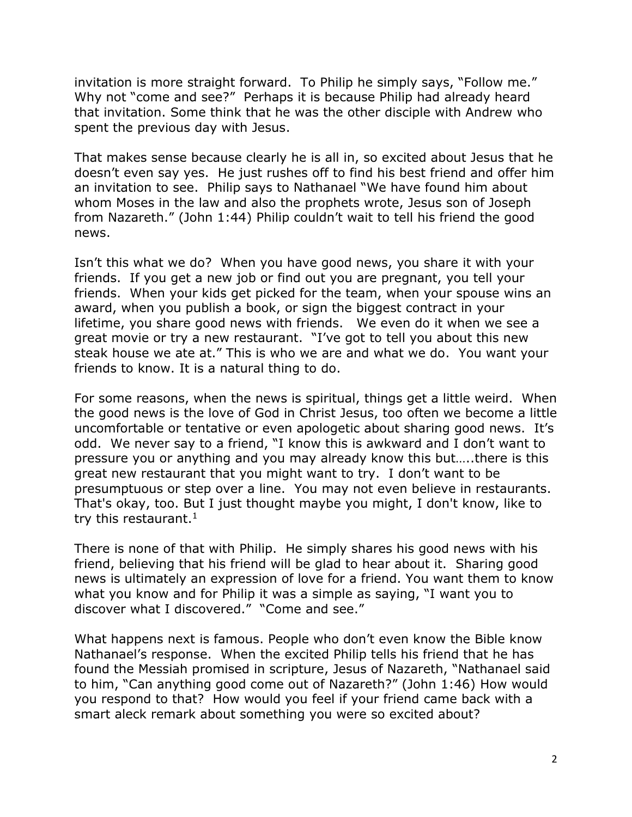invitation is more straight forward. To Philip he simply says, "Follow me." Why not "come and see?" Perhaps it is because Philip had already heard that invitation. Some think that he was the other disciple with Andrew who spent the previous day with Jesus.

That makes sense because clearly he is all in, so excited about Jesus that he doesn't even say yes. He just rushes off to find his best friend and offer him an invitation to see. Philip says to Nathanael "We have found him about whom Moses in the law and also the prophets wrote, Jesus son of Joseph from Nazareth." (John 1:44) Philip couldn't wait to tell his friend the good news.

Isn't this what we do? When you have good news, you share it with your friends. If you get a new job or find out you are pregnant, you tell your friends. When your kids get picked for the team, when your spouse wins an award, when you publish a book, or sign the biggest contract in your lifetime, you share good news with friends. We even do it when we see a great movie or try a new restaurant. "I've got to tell you about this new steak house we ate at." This is who we are and what we do. You want your friends to know. It is a natural thing to do.

For some reasons, when the news is spiritual, things get a little weird. When the good news is the love of God in Christ Jesus, too often we become a little uncomfortable or tentative or even apologetic about sharing good news. It's odd. We never say to a friend, "I know this is awkward and I don't want to pressure you or anything and you may already know this but…..there is this great new restaurant that you might want to try. I don't want to be presumptuous or step over a line. You may not even believe in restaurants. That's okay, too. But I just thought maybe you might, I don't know, like to try this restaurant. $1$ 

There is none of that with Philip. He simply shares his good news with his friend, believing that his friend will be glad to hear about it. Sharing good news is ultimately an expression of love for a friend. You want them to know what you know and for Philip it was a simple as saying, "I want you to discover what I discovered." "Come and see."

What happens next is famous. People who don't even know the Bible know Nathanael's response. When the excited Philip tells his friend that he has found the Messiah promised in scripture, Jesus of Nazareth, "Nathanael said to him, "Can anything good come out of Nazareth?" (John 1:46) How would you respond to that? How would you feel if your friend came back with a smart aleck remark about something you were so excited about?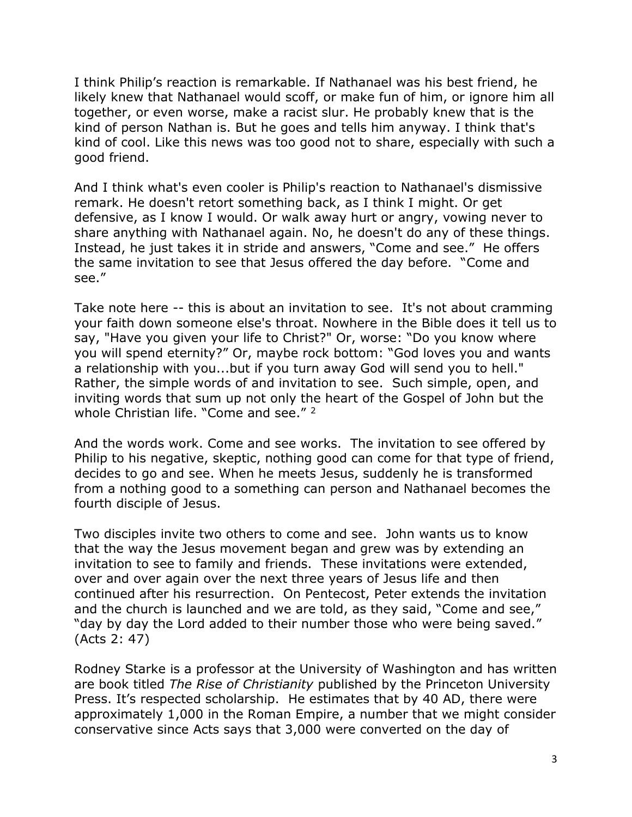I think Philip's reaction is remarkable. If Nathanael was his best friend, he likely knew that Nathanael would scoff, or make fun of him, or ignore him all together, or even worse, make a racist slur. He probably knew that is the kind of person Nathan is. But he goes and tells him anyway. I think that's kind of cool. Like this news was too good not to share, especially with such a good friend.

And I think what's even cooler is Philip's reaction to Nathanael's dismissive remark. He doesn't retort something back, as I think I might. Or get defensive, as I know I would. Or walk away hurt or angry, vowing never to share anything with Nathanael again. No, he doesn't do any of these things. Instead, he just takes it in stride and answers, "Come and see." He offers the same invitation to see that Jesus offered the day before. "Come and see."

Take note here -- this is about an invitation to see. It's not about cramming your faith down someone else's throat. Nowhere in the Bible does it tell us to say, "Have you given your life to Christ?" Or, worse: "Do you know where you will spend eternity?" Or, maybe rock bottom: "God loves you and wants a relationship with you...but if you turn away God will send you to hell." Rather, the simple words of and invitation to see. Such simple, open, and inviting words that sum up not only the heart of the Gospel of John but the whole Christian life. "Come and see."<sup>2</sup>

And the words work. Come and see works. The invitation to see offered by Philip to his negative, skeptic, nothing good can come for that type of friend, decides to go and see. When he meets Jesus, suddenly he is transformed from a nothing good to a something can person and Nathanael becomes the fourth disciple of Jesus.

Two disciples invite two others to come and see. John wants us to know that the way the Jesus movement began and grew was by extending an invitation to see to family and friends. These invitations were extended, over and over again over the next three years of Jesus life and then continued after his resurrection. On Pentecost, Peter extends the invitation and the church is launched and we are told, as they said, "Come and see," "day by day the Lord added to their number those who were being saved." (Acts 2: 47)

Rodney Starke is a professor at the University of Washington and has written are book titled *The Rise of Christianity* published by the Princeton University Press. It's respected scholarship. He estimates that by 40 AD, there were approximately 1,000 in the Roman Empire, a number that we might consider conservative since Acts says that 3,000 were converted on the day of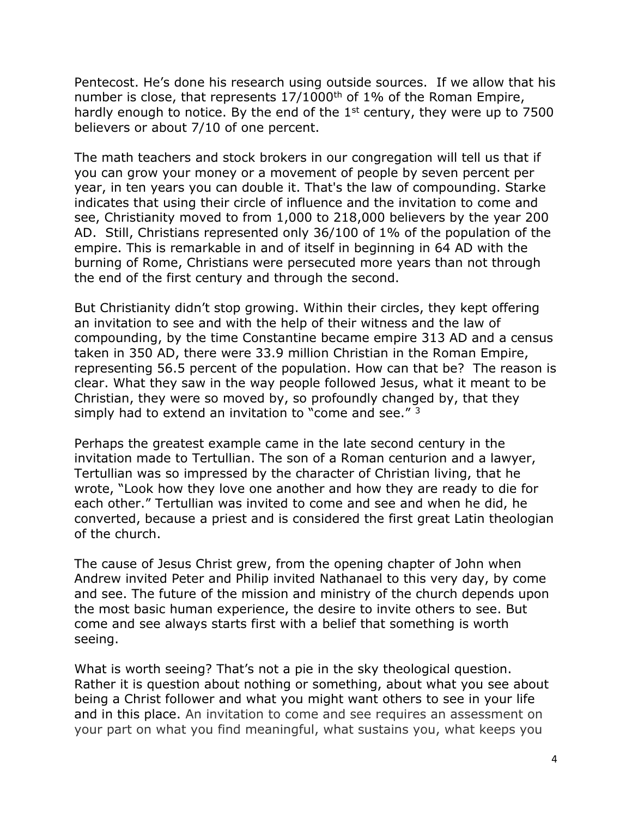Pentecost. He's done his research using outside sources. If we allow that his number is close, that represents 17/1000<sup>th</sup> of 1% of the Roman Empire, hardly enough to notice. By the end of the  $1<sup>st</sup>$  century, they were up to 7500 believers or about 7/10 of one percent.

The math teachers and stock brokers in our congregation will tell us that if you can grow your money or a movement of people by seven percent per year, in ten years you can double it. That's the law of compounding. Starke indicates that using their circle of influence and the invitation to come and see, Christianity moved to from 1,000 to 218,000 believers by the year 200 AD. Still, Christians represented only 36/100 of 1% of the population of the empire. This is remarkable in and of itself in beginning in 64 AD with the burning of Rome, Christians were persecuted more years than not through the end of the first century and through the second.

But Christianity didn't stop growing. Within their circles, they kept offering an invitation to see and with the help of their witness and the law of compounding, by the time Constantine became empire 313 AD and a census taken in 350 AD, there were 33.9 million Christian in the Roman Empire, representing 56.5 percent of the population. How can that be? The reason is clear. What they saw in the way people followed Jesus, what it meant to be Christian, they were so moved by, so profoundly changed by, that they simply had to extend an invitation to "come and see." 3

Perhaps the greatest example came in the late second century in the invitation made to Tertullian. The son of a Roman centurion and a lawyer, Tertullian was so impressed by the character of Christian living, that he wrote, "Look how they love one another and how they are ready to die for each other." Tertullian was invited to come and see and when he did, he converted, because a priest and is considered the first great Latin theologian of the church.

The cause of Jesus Christ grew, from the opening chapter of John when Andrew invited Peter and Philip invited Nathanael to this very day, by come and see. The future of the mission and ministry of the church depends upon the most basic human experience, the desire to invite others to see. But come and see always starts first with a belief that something is worth seeing.

What is worth seeing? That's not a pie in the sky theological question. Rather it is question about nothing or something, about what you see about being a Christ follower and what you might want others to see in your life and in this place. An invitation to come and see requires an assessment on your part on what you find meaningful, what sustains you, what keeps you